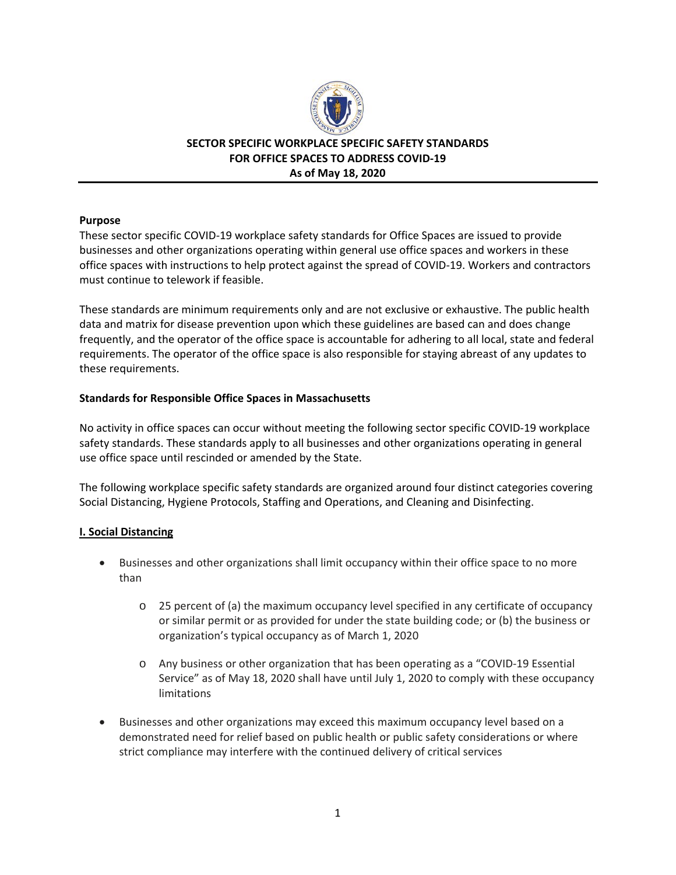

**SECTOR SPECIFIC WORKPLACE SPECIFIC SAFETY STANDARDS FOR OFFICE SPACES TO ADDRESS COVID-19 As of May 18, 2020**

#### **Purpose**

These sector specific COVID-19 workplace safety standards for Office Spaces are issued to provide businesses and other organizations operating within general use office spaces and workers in these office spaces with instructions to help protect against the spread of COVID-19. Workers and contractors must continue to telework if feasible.

These standards are minimum requirements only and are not exclusive or exhaustive. The public health data and matrix for disease prevention upon which these guidelines are based can and does change frequently, and the operator of the office space is accountable for adhering to all local, state and federal requirements. The operator of the office space is also responsible for staying abreast of any updates to these requirements.

#### **Standards for Responsible Office Spaces in Massachusetts**

No activity in office spaces can occur without meeting the following sector specific COVID-19 workplace safety standards. These standards apply to all businesses and other organizations operating in general use office space until rescinded or amended by the State.

The following workplace specific safety standards are organized around four distinct categories covering Social Distancing, Hygiene Protocols, Staffing and Operations, and Cleaning and Disinfecting.

# **I. Social Distancing**

- Businesses and other organizations shall limit occupancy within their office space to no more than
	- o 25 percent of (a) the maximum occupancy level specified in any certificate of occupancy or similar permit or as provided for under the state building code; or (b) the business or organization's typical occupancy as of March 1, 2020
	- o Any business or other organization that has been operating as a "COVID-19 Essential Service" as of May 18, 2020 shall have until July 1, 2020 to comply with these occupancy limitations
- Businesses and other organizations may exceed this maximum occupancy level based on a demonstrated need for relief based on public health or public safety considerations or where strict compliance may interfere with the continued delivery of critical services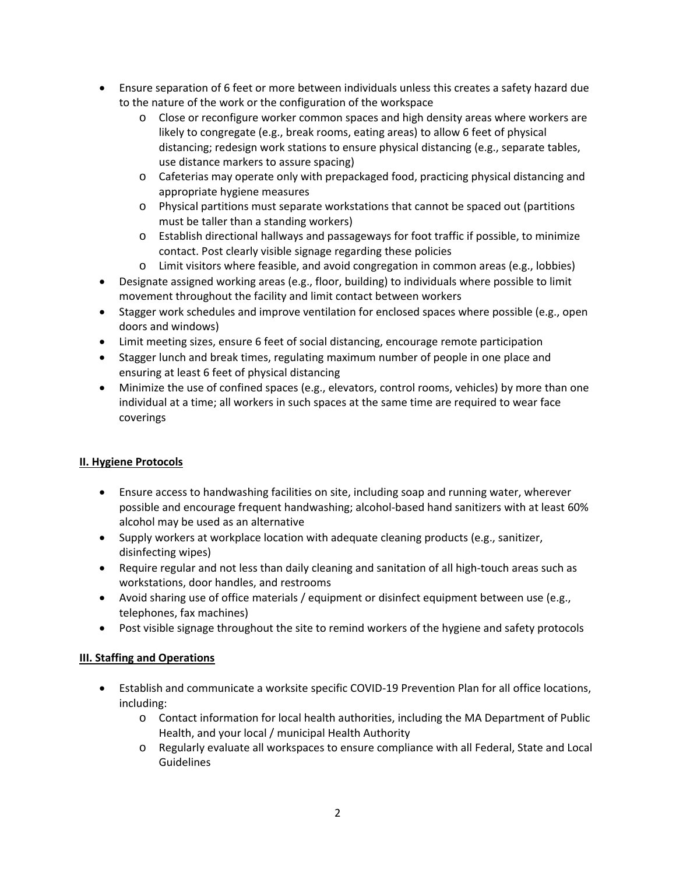- Ensure separation of 6 feet or more between individuals unless this creates a safety hazard due to the nature of the work or the configuration of the workspace
	- o Close or reconfigure worker common spaces and high density areas where workers are likely to congregate (e.g., break rooms, eating areas) to allow 6 feet of physical distancing; redesign work stations to ensure physical distancing (e.g., separate tables, use distance markers to assure spacing)
	- o Cafeterias may operate only with prepackaged food, practicing physical distancing and appropriate hygiene measures
	- o Physical partitions must separate workstations that cannot be spaced out (partitions must be taller than a standing workers)
	- o Establish directional hallways and passageways for foot traffic if possible, to minimize contact. Post clearly visible signage regarding these policies
	- o Limit visitors where feasible, and avoid congregation in common areas (e.g., lobbies)
- Designate assigned working areas (e.g., floor, building) to individuals where possible to limit movement throughout the facility and limit contact between workers
- Stagger work schedules and improve ventilation for enclosed spaces where possible (e.g., open doors and windows)
- Limit meeting sizes, ensure 6 feet of social distancing, encourage remote participation
- Stagger lunch and break times, regulating maximum number of people in one place and ensuring at least 6 feet of physical distancing
- Minimize the use of confined spaces (e.g., elevators, control rooms, vehicles) by more than one individual at a time; all workers in such spaces at the same time are required to wear face coverings

# **II. Hygiene Protocols**

- Ensure access to handwashing facilities on site, including soap and running water, wherever possible and encourage frequent handwashing; alcohol-based hand sanitizers with at least 60% alcohol may be used as an alternative
- Supply workers at workplace location with adequate cleaning products (e.g., sanitizer, disinfecting wipes)
- Require regular and not less than daily cleaning and sanitation of all high-touch areas such as workstations, door handles, and restrooms
- Avoid sharing use of office materials / equipment or disinfect equipment between use (e.g., telephones, fax machines)
- Post visible signage throughout the site to remind workers of the hygiene and safety protocols

# **III. Staffing and Operations**

- Establish and communicate a worksite specific COVID-19 Prevention Plan for all office locations, including:
	- o Contact information for local health authorities, including the MA Department of Public Health, and your local / municipal Health Authority
	- o Regularly evaluate all workspaces to ensure compliance with all Federal, State and Local Guidelines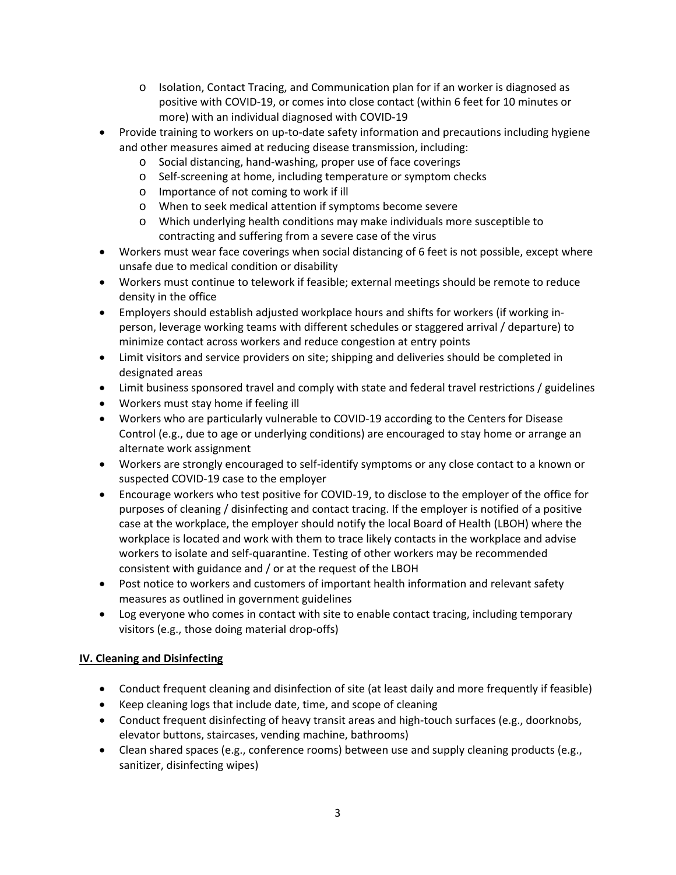- o Isolation, Contact Tracing, and Communication plan for if an worker is diagnosed as positive with COVID-19, or comes into close contact (within 6 feet for 10 minutes or more) with an individual diagnosed with COVID-19
- Provide training to workers on up-to-date safety information and precautions including hygiene and other measures aimed at reducing disease transmission, including:
	- o Social distancing, hand-washing, proper use of face coverings
	- o Self-screening at home, including temperature or symptom checks
	- o Importance of not coming to work if ill
	- o When to seek medical attention if symptoms become severe
	- o Which underlying health conditions may make individuals more susceptible to contracting and suffering from a severe case of the virus
- Workers must wear face coverings when social distancing of 6 feet is not possible, except where unsafe due to medical condition or disability
- Workers must continue to telework if feasible; external meetings should be remote to reduce density in the office
- Employers should establish adjusted workplace hours and shifts for workers (if working inperson, leverage working teams with different schedules or staggered arrival / departure) to minimize contact across workers and reduce congestion at entry points
- Limit visitors and service providers on site; shipping and deliveries should be completed in designated areas
- Limit business sponsored travel and comply with state and federal travel restrictions / guidelines
- Workers must stay home if feeling ill
- Workers who are particularly vulnerable to COVID-19 according to the Centers for Disease Control (e.g., due to age or underlying conditions) are encouraged to stay home or arrange an alternate work assignment
- Workers are strongly encouraged to self-identify symptoms or any close contact to a known or suspected COVID-19 case to the employer
- Encourage workers who test positive for COVID-19, to disclose to the employer of the office for purposes of cleaning / disinfecting and contact tracing. If the employer is notified of a positive case at the workplace, the employer should notify the local Board of Health (LBOH) where the workplace is located and work with them to trace likely contacts in the workplace and advise workers to isolate and self-quarantine. Testing of other workers may be recommended consistent with guidance and / or at the request of the LBOH
- Post notice to workers and customers of important health information and relevant safety measures as outlined in government guidelines
- Log everyone who comes in contact with site to enable contact tracing, including temporary visitors (e.g., those doing material drop-offs)

# **IV. Cleaning and Disinfecting**

- Conduct frequent cleaning and disinfection of site (at least daily and more frequently if feasible)
- Keep cleaning logs that include date, time, and scope of cleaning
- Conduct frequent disinfecting of heavy transit areas and high-touch surfaces (e.g., doorknobs, elevator buttons, staircases, vending machine, bathrooms)
- Clean shared spaces (e.g., conference rooms) between use and supply cleaning products (e.g., sanitizer, disinfecting wipes)